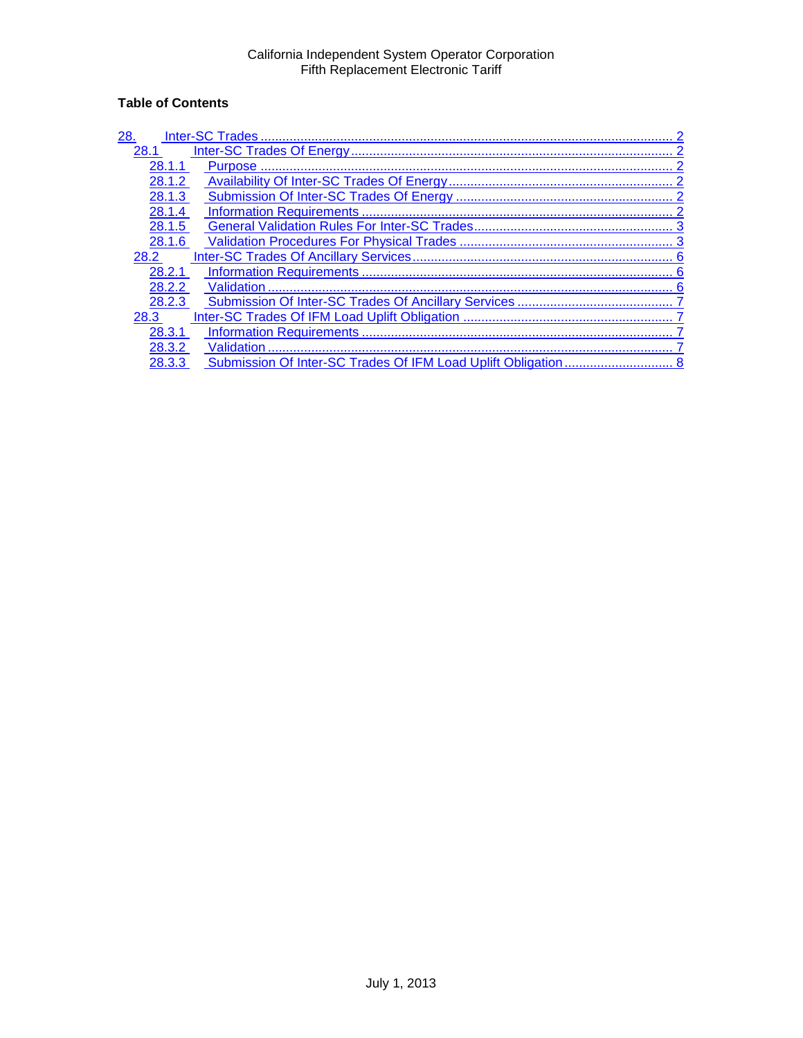# **Table of Contents**

| 28.<br><b>Inter-SC Trades</b> |                |
|-------------------------------|----------------|
| 28.1                          |                |
| 28.1.1                        | <b>Purpose</b> |
| 28.1.2                        |                |
| 28.1.3                        |                |
| 28.1.4                        |                |
| 28.1.5                        |                |
| 28.1.6                        |                |
| 28.2                          |                |
| 28.2.1                        |                |
| 28.2.2                        | Validation     |
| 28.2.3                        |                |
| 28.3                          |                |
| 28.3.1                        |                |
| 28.3.2                        | Validation     |
| 28.3.3                        |                |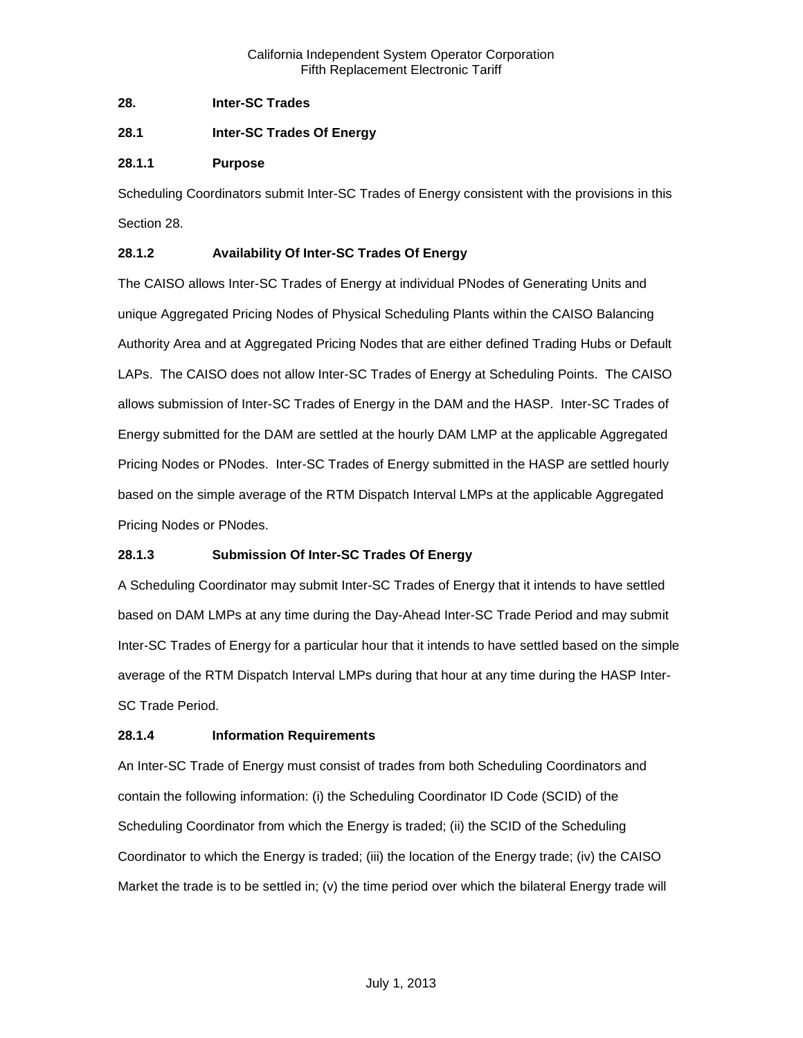<span id="page-1-0"></span>**28. Inter-SC Trades**

<span id="page-1-1"></span>**28.1 Inter-SC Trades Of Energy**

# <span id="page-1-2"></span>**28.1.1 Purpose**

Scheduling Coordinators submit Inter-SC Trades of Energy consistent with the provisions in this Section 28.

# <span id="page-1-3"></span>**28.1.2 Availability Of Inter-SC Trades Of Energy**

The CAISO allows Inter-SC Trades of Energy at individual PNodes of Generating Units and unique Aggregated Pricing Nodes of Physical Scheduling Plants within the CAISO Balancing Authority Area and at Aggregated Pricing Nodes that are either defined Trading Hubs or Default LAPs. The CAISO does not allow Inter-SC Trades of Energy at Scheduling Points. The CAISO allows submission of Inter-SC Trades of Energy in the DAM and the HASP. Inter-SC Trades of Energy submitted for the DAM are settled at the hourly DAM LMP at the applicable Aggregated Pricing Nodes or PNodes. Inter-SC Trades of Energy submitted in the HASP are settled hourly based on the simple average of the RTM Dispatch Interval LMPs at the applicable Aggregated Pricing Nodes or PNodes.

# <span id="page-1-4"></span>**28.1.3 Submission Of Inter-SC Trades Of Energy**

A Scheduling Coordinator may submit Inter-SC Trades of Energy that it intends to have settled based on DAM LMPs at any time during the Day-Ahead Inter-SC Trade Period and may submit Inter-SC Trades of Energy for a particular hour that it intends to have settled based on the simple average of the RTM Dispatch Interval LMPs during that hour at any time during the HASP Inter-SC Trade Period.

### <span id="page-1-5"></span>**28.1.4 Information Requirements**

An Inter-SC Trade of Energy must consist of trades from both Scheduling Coordinators and contain the following information: (i) the Scheduling Coordinator ID Code (SCID) of the Scheduling Coordinator from which the Energy is traded; (ii) the SCID of the Scheduling Coordinator to which the Energy is traded; (iii) the location of the Energy trade; (iv) the CAISO Market the trade is to be settled in; (v) the time period over which the bilateral Energy trade will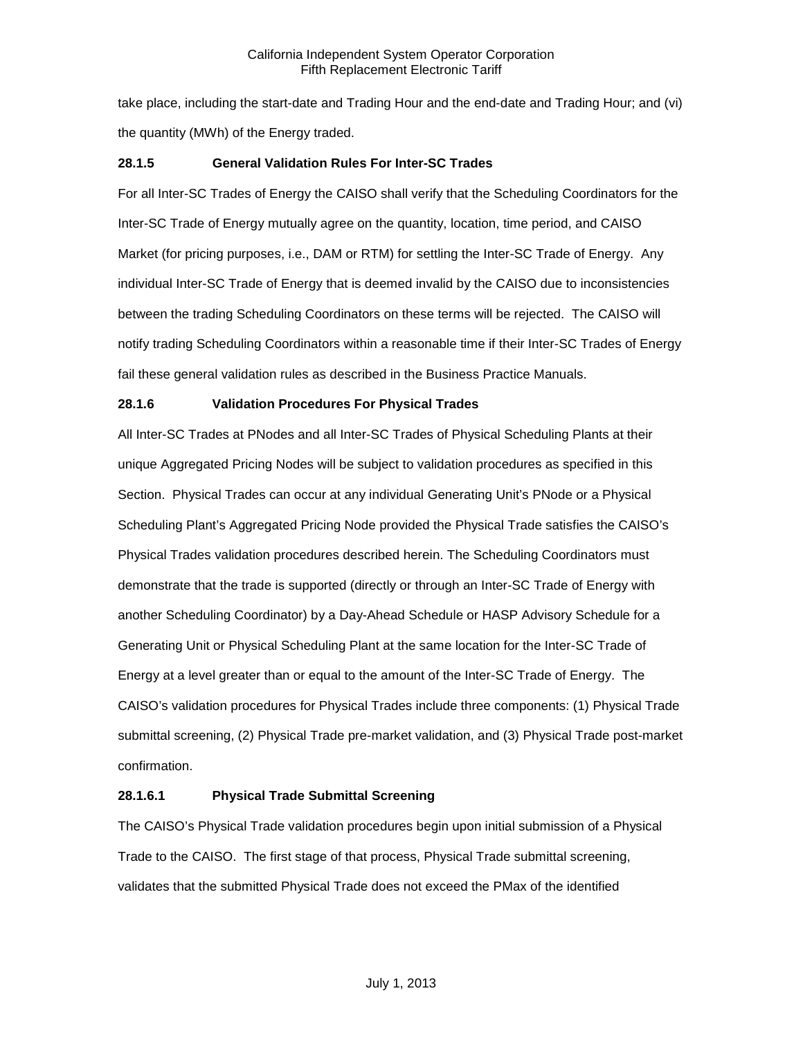take place, including the start-date and Trading Hour and the end-date and Trading Hour; and (vi) the quantity (MWh) of the Energy traded.

# <span id="page-2-0"></span>**28.1.5 General Validation Rules For Inter-SC Trades**

For all Inter-SC Trades of Energy the CAISO shall verify that the Scheduling Coordinators for the Inter-SC Trade of Energy mutually agree on the quantity, location, time period, and CAISO Market (for pricing purposes, i.e., DAM or RTM) for settling the Inter-SC Trade of Energy. Any individual Inter-SC Trade of Energy that is deemed invalid by the CAISO due to inconsistencies between the trading Scheduling Coordinators on these terms will be rejected. The CAISO will notify trading Scheduling Coordinators within a reasonable time if their Inter-SC Trades of Energy fail these general validation rules as described in the Business Practice Manuals.

# <span id="page-2-1"></span>**28.1.6 Validation Procedures For Physical Trades**

All Inter-SC Trades at PNodes and all Inter-SC Trades of Physical Scheduling Plants at their unique Aggregated Pricing Nodes will be subject to validation procedures as specified in this Section. Physical Trades can occur at any individual Generating Unit's PNode or a Physical Scheduling Plant's Aggregated Pricing Node provided the Physical Trade satisfies the CAISO's Physical Trades validation procedures described herein. The Scheduling Coordinators must demonstrate that the trade is supported (directly or through an Inter-SC Trade of Energy with another Scheduling Coordinator) by a Day-Ahead Schedule or HASP Advisory Schedule for a Generating Unit or Physical Scheduling Plant at the same location for the Inter-SC Trade of Energy at a level greater than or equal to the amount of the Inter-SC Trade of Energy. The CAISO's validation procedures for Physical Trades include three components: (1) Physical Trade submittal screening, (2) Physical Trade pre-market validation, and (3) Physical Trade post-market confirmation.

# **28.1.6.1 Physical Trade Submittal Screening**

The CAISO's Physical Trade validation procedures begin upon initial submission of a Physical Trade to the CAISO. The first stage of that process, Physical Trade submittal screening, validates that the submitted Physical Trade does not exceed the PMax of the identified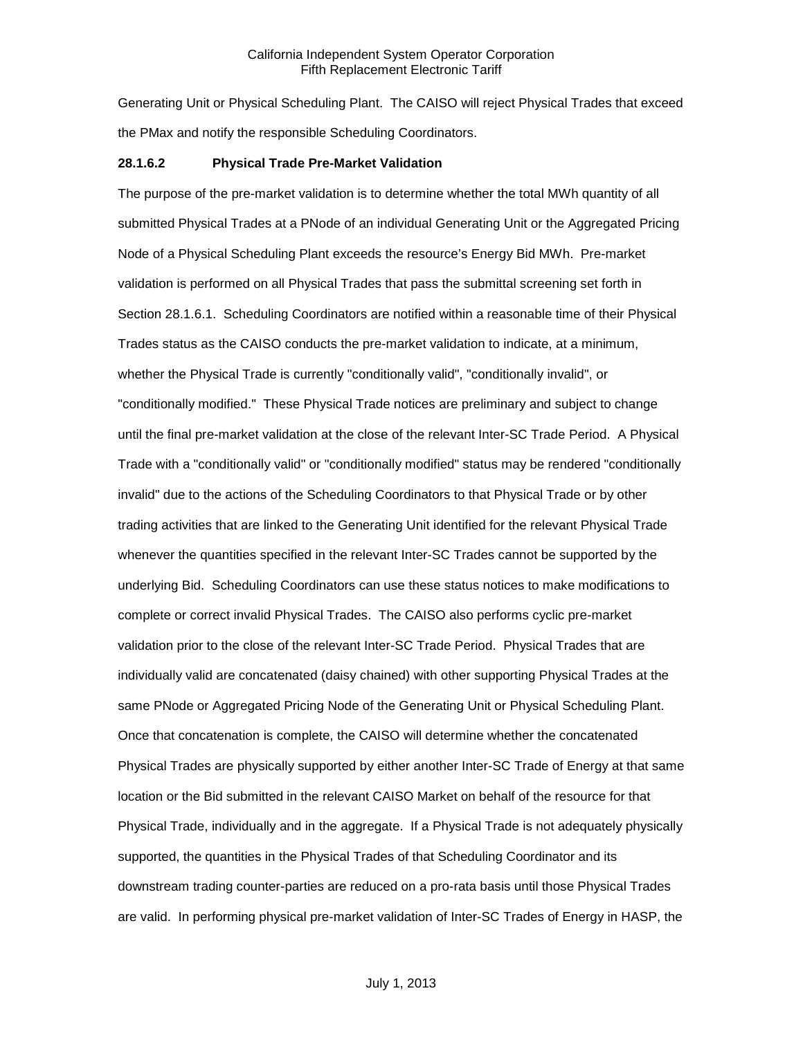Generating Unit or Physical Scheduling Plant. The CAISO will reject Physical Trades that exceed the PMax and notify the responsible Scheduling Coordinators.

#### **28.1.6.2 Physical Trade Pre-Market Validation**

The purpose of the pre-market validation is to determine whether the total MWh quantity of all submitted Physical Trades at a PNode of an individual Generating Unit or the Aggregated Pricing Node of a Physical Scheduling Plant exceeds the resource's Energy Bid MWh. Pre-market validation is performed on all Physical Trades that pass the submittal screening set forth in Section 28.1.6.1. Scheduling Coordinators are notified within a reasonable time of their Physical Trades status as the CAISO conducts the pre-market validation to indicate, at a minimum, whether the Physical Trade is currently "conditionally valid", "conditionally invalid", or "conditionally modified." These Physical Trade notices are preliminary and subject to change until the final pre-market validation at the close of the relevant Inter-SC Trade Period. A Physical Trade with a "conditionally valid" or "conditionally modified" status may be rendered "conditionally invalid" due to the actions of the Scheduling Coordinators to that Physical Trade or by other trading activities that are linked to the Generating Unit identified for the relevant Physical Trade whenever the quantities specified in the relevant Inter-SC Trades cannot be supported by the underlying Bid. Scheduling Coordinators can use these status notices to make modifications to complete or correct invalid Physical Trades. The CAISO also performs cyclic pre-market validation prior to the close of the relevant Inter-SC Trade Period. Physical Trades that are individually valid are concatenated (daisy chained) with other supporting Physical Trades at the same PNode or Aggregated Pricing Node of the Generating Unit or Physical Scheduling Plant. Once that concatenation is complete, the CAISO will determine whether the concatenated Physical Trades are physically supported by either another Inter-SC Trade of Energy at that same location or the Bid submitted in the relevant CAISO Market on behalf of the resource for that Physical Trade, individually and in the aggregate. If a Physical Trade is not adequately physically supported, the quantities in the Physical Trades of that Scheduling Coordinator and its downstream trading counter-parties are reduced on a pro-rata basis until those Physical Trades are valid. In performing physical pre-market validation of Inter-SC Trades of Energy in HASP, the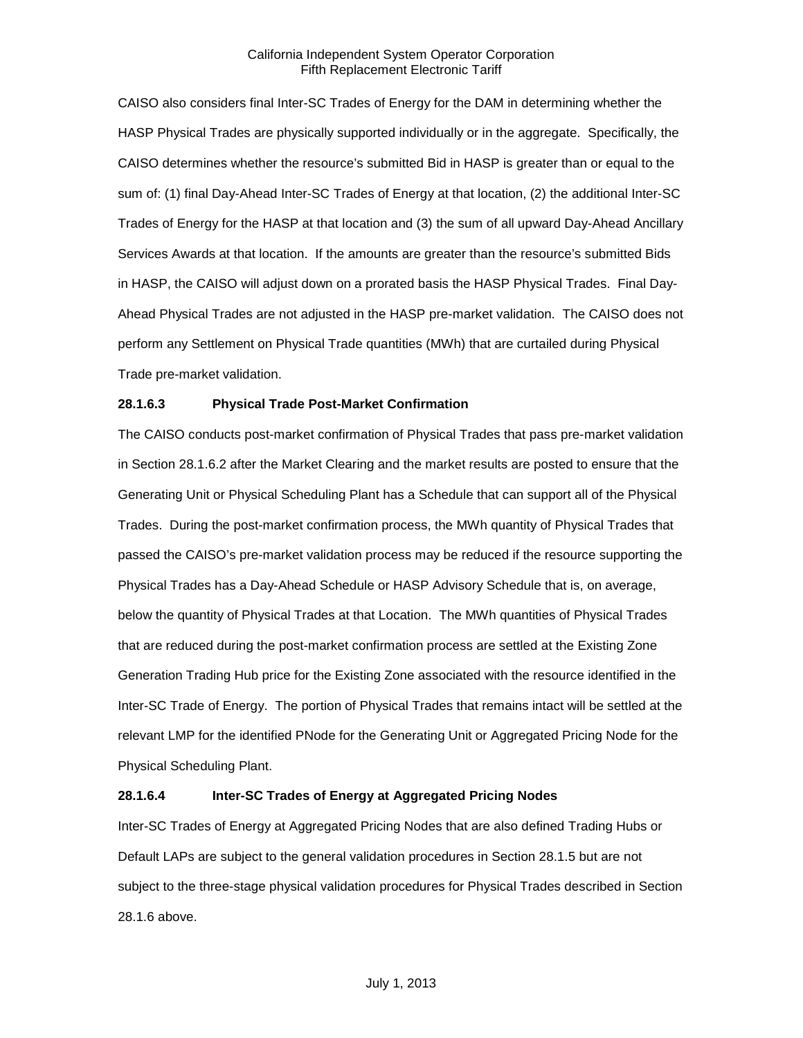#### California Independent System Operator Corporation Fifth Replacement Electronic Tariff

CAISO also considers final Inter-SC Trades of Energy for the DAM in determining whether the HASP Physical Trades are physically supported individually or in the aggregate. Specifically, the CAISO determines whether the resource's submitted Bid in HASP is greater than or equal to the sum of: (1) final Day-Ahead Inter-SC Trades of Energy at that location, (2) the additional Inter-SC Trades of Energy for the HASP at that location and (3) the sum of all upward Day-Ahead Ancillary Services Awards at that location. If the amounts are greater than the resource's submitted Bids in HASP, the CAISO will adjust down on a prorated basis the HASP Physical Trades. Final Day-Ahead Physical Trades are not adjusted in the HASP pre-market validation. The CAISO does not perform any Settlement on Physical Trade quantities (MWh) that are curtailed during Physical Trade pre-market validation.

### **28.1.6.3 Physical Trade Post-Market Confirmation**

The CAISO conducts post-market confirmation of Physical Trades that pass pre-market validation in Section 28.1.6.2 after the Market Clearing and the market results are posted to ensure that the Generating Unit or Physical Scheduling Plant has a Schedule that can support all of the Physical Trades. During the post-market confirmation process, the MWh quantity of Physical Trades that passed the CAISO's pre-market validation process may be reduced if the resource supporting the Physical Trades has a Day-Ahead Schedule or HASP Advisory Schedule that is, on average, below the quantity of Physical Trades at that Location. The MWh quantities of Physical Trades that are reduced during the post-market confirmation process are settled at the Existing Zone Generation Trading Hub price for the Existing Zone associated with the resource identified in the Inter-SC Trade of Energy. The portion of Physical Trades that remains intact will be settled at the relevant LMP for the identified PNode for the Generating Unit or Aggregated Pricing Node for the Physical Scheduling Plant.

### **28.1.6.4 Inter-SC Trades of Energy at Aggregated Pricing Nodes**

Inter-SC Trades of Energy at Aggregated Pricing Nodes that are also defined Trading Hubs or Default LAPs are subject to the general validation procedures in Section 28.1.5 but are not subject to the three-stage physical validation procedures for Physical Trades described in Section 28.1.6 above.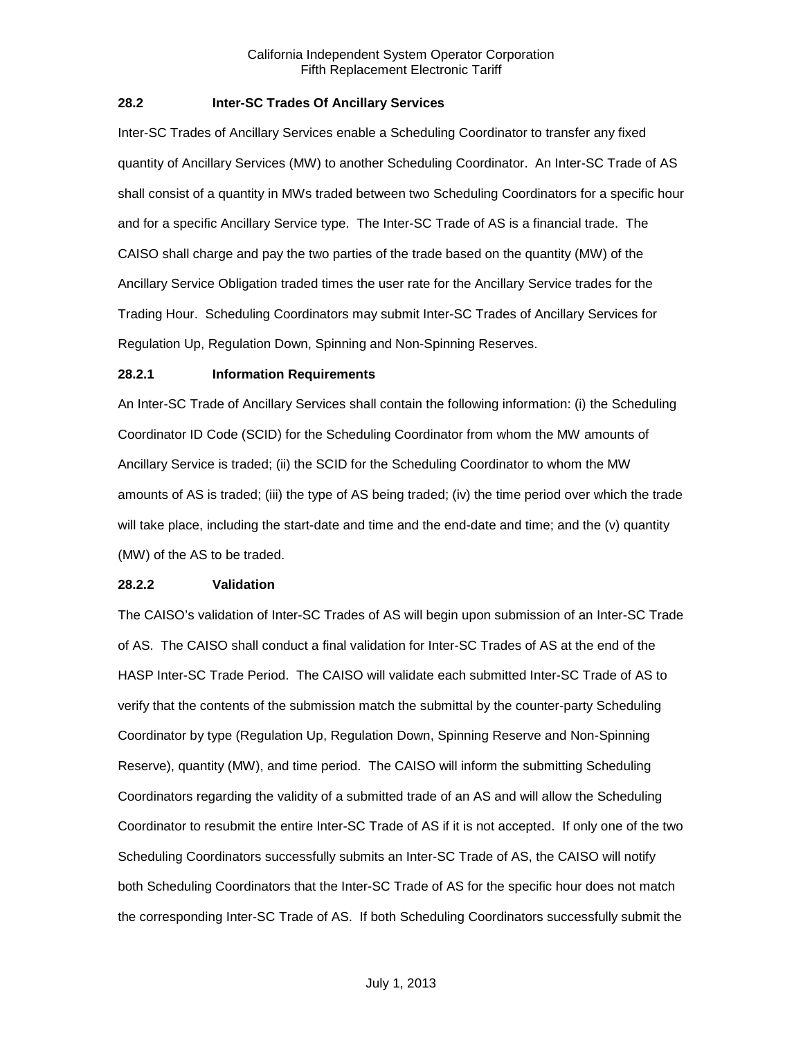# <span id="page-5-0"></span>**28.2 Inter-SC Trades Of Ancillary Services**

Inter-SC Trades of Ancillary Services enable a Scheduling Coordinator to transfer any fixed quantity of Ancillary Services (MW) to another Scheduling Coordinator. An Inter-SC Trade of AS shall consist of a quantity in MWs traded between two Scheduling Coordinators for a specific hour and for a specific Ancillary Service type. The Inter-SC Trade of AS is a financial trade. The CAISO shall charge and pay the two parties of the trade based on the quantity (MW) of the Ancillary Service Obligation traded times the user rate for the Ancillary Service trades for the Trading Hour. Scheduling Coordinators may submit Inter-SC Trades of Ancillary Services for Regulation Up, Regulation Down, Spinning and Non-Spinning Reserves.

#### <span id="page-5-1"></span>**28.2.1 Information Requirements**

An Inter-SC Trade of Ancillary Services shall contain the following information: (i) the Scheduling Coordinator ID Code (SCID) for the Scheduling Coordinator from whom the MW amounts of Ancillary Service is traded; (ii) the SCID for the Scheduling Coordinator to whom the MW amounts of AS is traded; (iii) the type of AS being traded; (iv) the time period over which the trade will take place, including the start-date and time and the end-date and time; and the (v) quantity (MW) of the AS to be traded.

#### <span id="page-5-2"></span>**28.2.2 Validation**

The CAISO's validation of Inter-SC Trades of AS will begin upon submission of an Inter-SC Trade of AS. The CAISO shall conduct a final validation for Inter-SC Trades of AS at the end of the HASP Inter-SC Trade Period. The CAISO will validate each submitted Inter-SC Trade of AS to verify that the contents of the submission match the submittal by the counter-party Scheduling Coordinator by type (Regulation Up, Regulation Down, Spinning Reserve and Non-Spinning Reserve), quantity (MW), and time period. The CAISO will inform the submitting Scheduling Coordinators regarding the validity of a submitted trade of an AS and will allow the Scheduling Coordinator to resubmit the entire Inter-SC Trade of AS if it is not accepted. If only one of the two Scheduling Coordinators successfully submits an Inter-SC Trade of AS, the CAISO will notify both Scheduling Coordinators that the Inter-SC Trade of AS for the specific hour does not match the corresponding Inter-SC Trade of AS. If both Scheduling Coordinators successfully submit the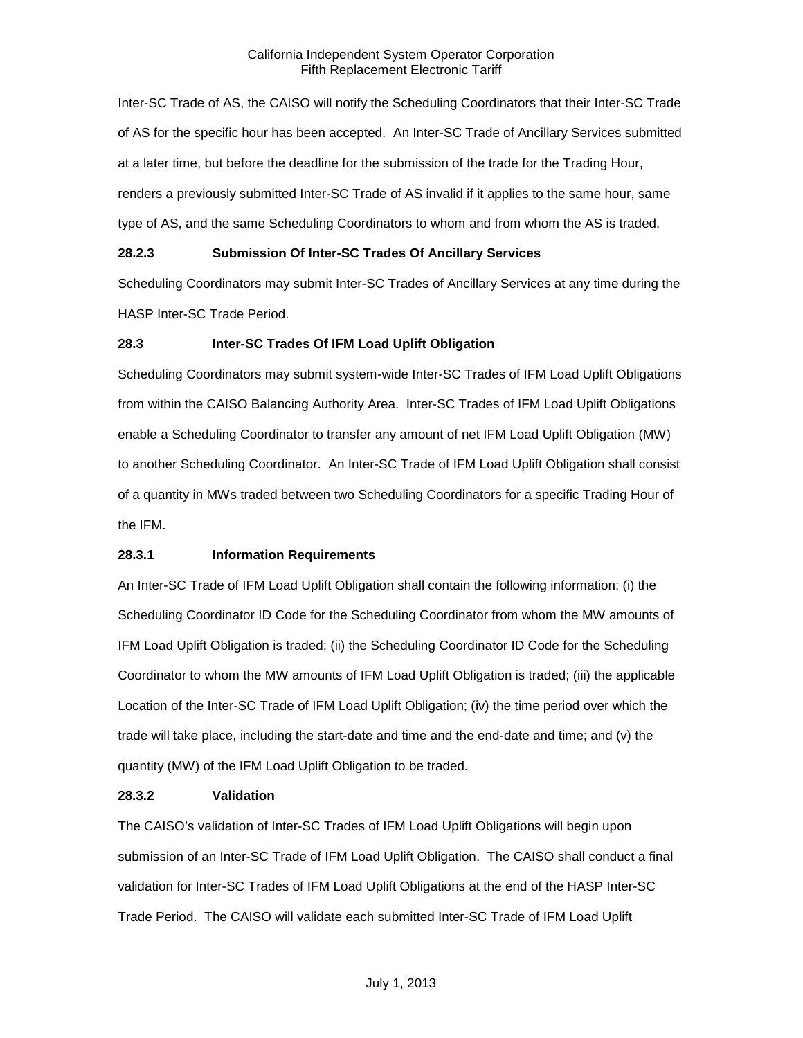### California Independent System Operator Corporation Fifth Replacement Electronic Tariff

Inter-SC Trade of AS, the CAISO will notify the Scheduling Coordinators that their Inter-SC Trade of AS for the specific hour has been accepted. An Inter-SC Trade of Ancillary Services submitted at a later time, but before the deadline for the submission of the trade for the Trading Hour, renders a previously submitted Inter-SC Trade of AS invalid if it applies to the same hour, same type of AS, and the same Scheduling Coordinators to whom and from whom the AS is traded.

# <span id="page-6-0"></span>**28.2.3 Submission Of Inter-SC Trades Of Ancillary Services**

Scheduling Coordinators may submit Inter-SC Trades of Ancillary Services at any time during the HASP Inter-SC Trade Period.

# <span id="page-6-1"></span>**28.3 Inter-SC Trades Of IFM Load Uplift Obligation**

Scheduling Coordinators may submit system-wide Inter-SC Trades of IFM Load Uplift Obligations from within the CAISO Balancing Authority Area. Inter-SC Trades of IFM Load Uplift Obligations enable a Scheduling Coordinator to transfer any amount of net IFM Load Uplift Obligation (MW) to another Scheduling Coordinator. An Inter-SC Trade of IFM Load Uplift Obligation shall consist of a quantity in MWs traded between two Scheduling Coordinators for a specific Trading Hour of the IFM.

# <span id="page-6-2"></span>**28.3.1 Information Requirements**

An Inter-SC Trade of IFM Load Uplift Obligation shall contain the following information: (i) the Scheduling Coordinator ID Code for the Scheduling Coordinator from whom the MW amounts of IFM Load Uplift Obligation is traded; (ii) the Scheduling Coordinator ID Code for the Scheduling Coordinator to whom the MW amounts of IFM Load Uplift Obligation is traded; (iii) the applicable Location of the Inter-SC Trade of IFM Load Uplift Obligation; (iv) the time period over which the trade will take place, including the start-date and time and the end-date and time; and (v) the quantity (MW) of the IFM Load Uplift Obligation to be traded.

### <span id="page-6-3"></span>**28.3.2 Validation**

The CAISO's validation of Inter-SC Trades of IFM Load Uplift Obligations will begin upon submission of an Inter-SC Trade of IFM Load Uplift Obligation. The CAISO shall conduct a final validation for Inter-SC Trades of IFM Load Uplift Obligations at the end of the HASP Inter-SC Trade Period. The CAISO will validate each submitted Inter-SC Trade of IFM Load Uplift